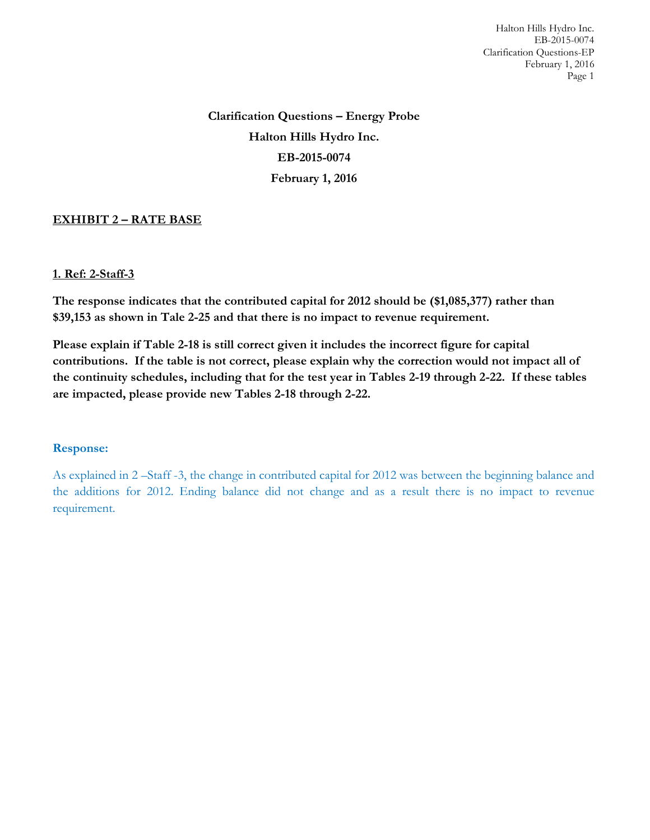Halton Hills Hydro Inc. EB-2015-0074 Clarification Questions-EP February 1, 2016 Page 1

**Clarification Questions – Energy Probe Halton Hills Hydro Inc. EB-2015-0074 February 1, 2016**

# **EXHIBIT 2 – RATE BASE**

### **1. Ref: 2-Staff-3**

**The response indicates that the contributed capital for 2012 should be (\$1,085,377) rather than \$39,153 as shown in Tale 2-25 and that there is no impact to revenue requirement.**

**Please explain if Table 2-18 is still correct given it includes the incorrect figure for capital contributions. If the table is not correct, please explain why the correction would not impact all of the continuity schedules, including that for the test year in Tables 2-19 through 2-22. If these tables are impacted, please provide new Tables 2-18 through 2-22.**

#### **Response:**

As explained in 2 –Staff -3, the change in contributed capital for 2012 was between the beginning balance and the additions for 2012. Ending balance did not change and as a result there is no impact to revenue requirement.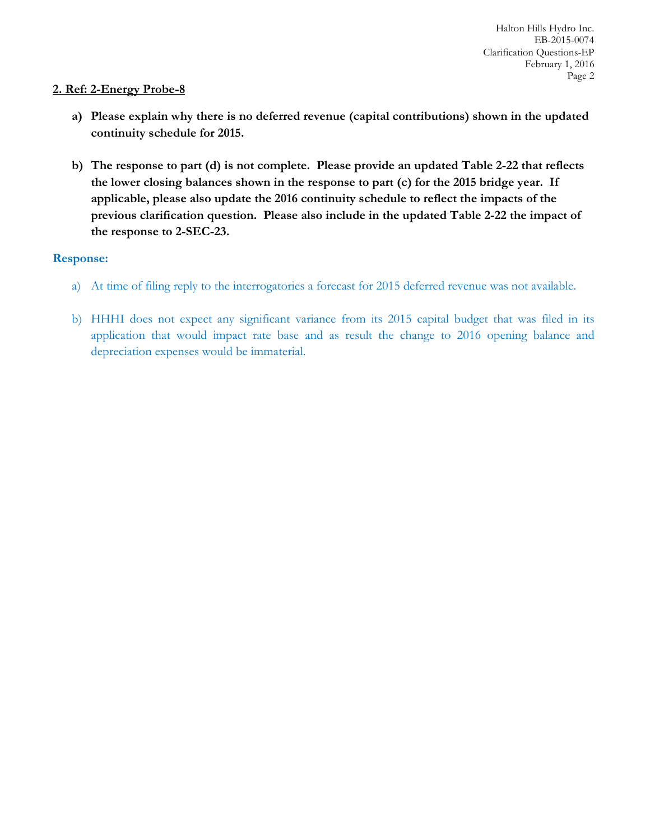## **2. Ref: 2-Energy Probe-8**

- **a) Please explain why there is no deferred revenue (capital contributions) shown in the updated continuity schedule for 2015.**
- **b) The response to part (d) is not complete. Please provide an updated Table 2-22 that reflects the lower closing balances shown in the response to part (c) for the 2015 bridge year. If applicable, please also update the 2016 continuity schedule to reflect the impacts of the previous clarification question. Please also include in the updated Table 2-22 the impact of the response to 2-SEC-23.**

# **Response:**

- a) At time of filing reply to the interrogatories a forecast for 2015 deferred revenue was not available.
- b) HHHI does not expect any significant variance from its 2015 capital budget that was filed in its application that would impact rate base and as result the change to 2016 opening balance and depreciation expenses would be immaterial.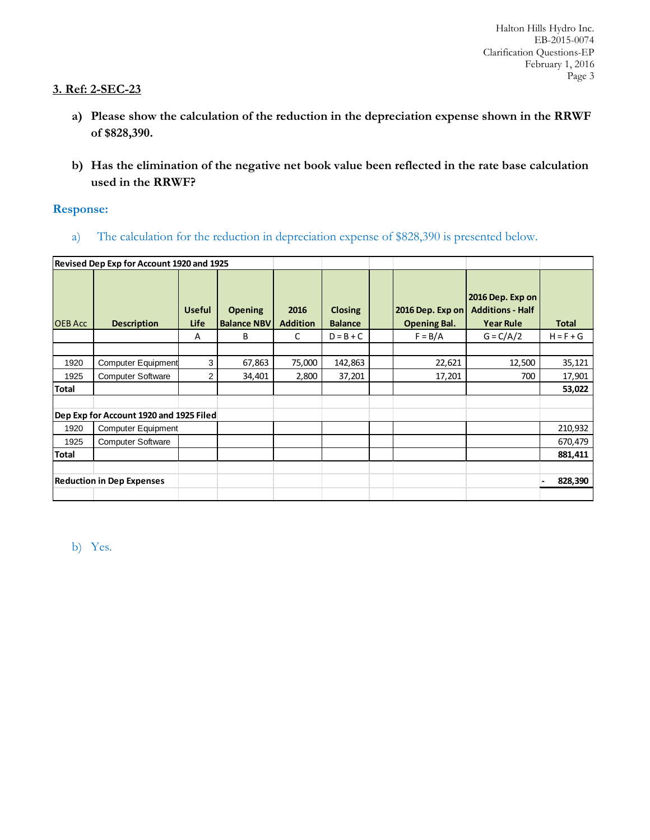### **3. Ref: 2-SEC-23**

- **a) Please show the calculation of the reduction in the depreciation expense shown in the RRWF of \$828,390.**
- **b) Has the elimination of the negative net book value been reflected in the rate base calculation used in the RRWF?**

## **Response:**

a) The calculation for the reduction in depreciation expense of \$828,390 is presented below.

| Revised Dep Exp for Account 1920 and 1925 |                           |                              |                                      |                         |                                  |  |                                         |                                                                 |              |  |  |  |
|-------------------------------------------|---------------------------|------------------------------|--------------------------------------|-------------------------|----------------------------------|--|-----------------------------------------|-----------------------------------------------------------------|--------------|--|--|--|
| <b>OEB Acc</b>                            | <b>Description</b>        | <b>Useful</b><br><b>Life</b> | <b>Opening</b><br><b>Balance NBV</b> | 2016<br><b>Addition</b> | <b>Closing</b><br><b>Balance</b> |  | 2016 Dep. Exp on<br><b>Opening Bal.</b> | 2016 Dep. Exp on<br><b>Additions - Half</b><br><b>Year Rule</b> | <b>Total</b> |  |  |  |
|                                           |                           | A                            | B                                    | C                       | $D = B + C$                      |  | $F = B/A$                               | $G = C/A/2$                                                     | $H = F + G$  |  |  |  |
|                                           |                           |                              |                                      |                         |                                  |  |                                         |                                                                 |              |  |  |  |
| 1920                                      | <b>Computer Equipment</b> | 3                            | 67,863                               | 75,000                  | 142,863                          |  | 22,621                                  | 12,500                                                          | 35,121       |  |  |  |
| 1925                                      | <b>Computer Software</b>  | 2                            | 34,401                               | 2,800                   | 37,201                           |  | 17,201                                  | 700                                                             | 17,901       |  |  |  |
| <b>Total</b>                              |                           |                              |                                      |                         |                                  |  |                                         |                                                                 | 53,022       |  |  |  |
|                                           |                           |                              |                                      |                         |                                  |  |                                         |                                                                 |              |  |  |  |
| Dep Exp for Account 1920 and 1925 Filed   |                           |                              |                                      |                         |                                  |  |                                         |                                                                 |              |  |  |  |
| 1920                                      | Computer Equipment        |                              |                                      |                         |                                  |  |                                         |                                                                 | 210,932      |  |  |  |
| 1925                                      | <b>Computer Software</b>  |                              |                                      |                         |                                  |  |                                         |                                                                 | 670,479      |  |  |  |
| <b>Total</b>                              |                           |                              |                                      |                         |                                  |  |                                         |                                                                 | 881,411      |  |  |  |
| <b>Reduction in Dep Expenses</b>          |                           |                              |                                      |                         |                                  |  |                                         | 828,390                                                         |              |  |  |  |
|                                           |                           |                              |                                      |                         |                                  |  |                                         |                                                                 |              |  |  |  |

b) Yes.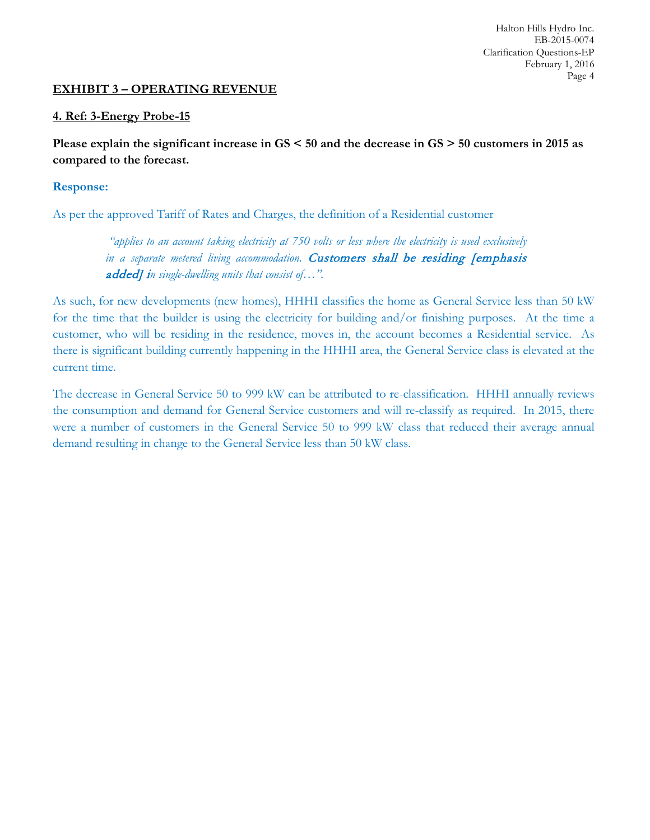Halton Hills Hydro Inc. EB-2015-0074 Clarification Questions-EP February 1, 2016 Page 4

### **EXHIBIT 3 – OPERATING REVENUE**

#### **4. Ref: 3-Energy Probe-15**

**Please explain the significant increase in GS < 50 and the decrease in GS > 50 customers in 2015 as compared to the forecast.**

#### **Response:**

As per the approved Tariff of Rates and Charges, the definition of a Residential customer

*"applies to an account taking electricity at 750 volts or less where the electricity is used exclusively*  in a separate metered living accommodation. Customers shall be residing [emphasis added] i*n single-dwelling units that consist of…".* 

As such, for new developments (new homes), HHHI classifies the home as General Service less than 50 kW for the time that the builder is using the electricity for building and/or finishing purposes. At the time a customer, who will be residing in the residence, moves in, the account becomes a Residential service. As there is significant building currently happening in the HHHI area, the General Service class is elevated at the current time.

The decrease in General Service 50 to 999 kW can be attributed to re-classification. HHHI annually reviews the consumption and demand for General Service customers and will re-classify as required. In 2015, there were a number of customers in the General Service 50 to 999 kW class that reduced their average annual demand resulting in change to the General Service less than 50 kW class.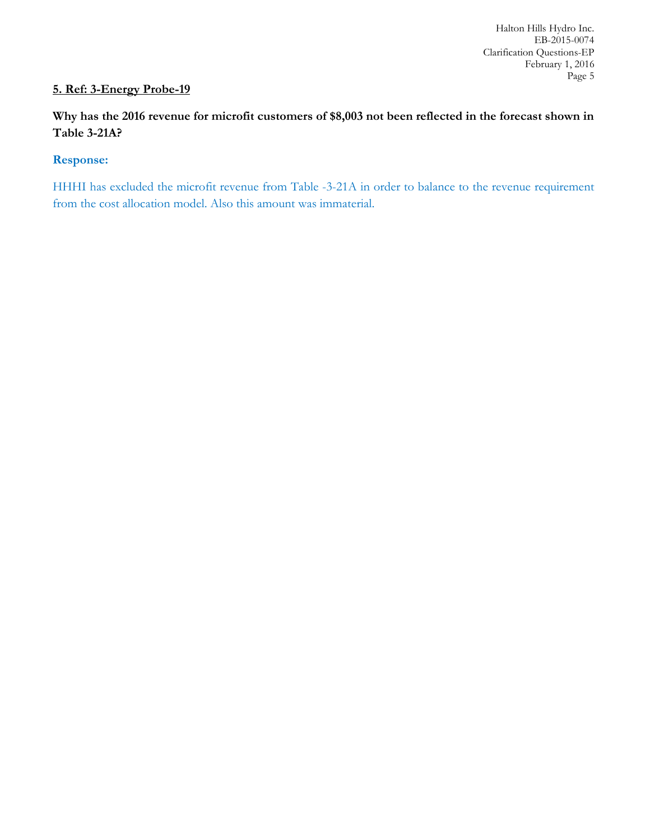# **5. Ref: 3-Energy Probe-19**

**Why has the 2016 revenue for microfit customers of \$8,003 not been reflected in the forecast shown in Table 3-21A?**

## **Response:**

HHHI has excluded the microfit revenue from Table -3-21A in order to balance to the revenue requirement from the cost allocation model. Also this amount was immaterial.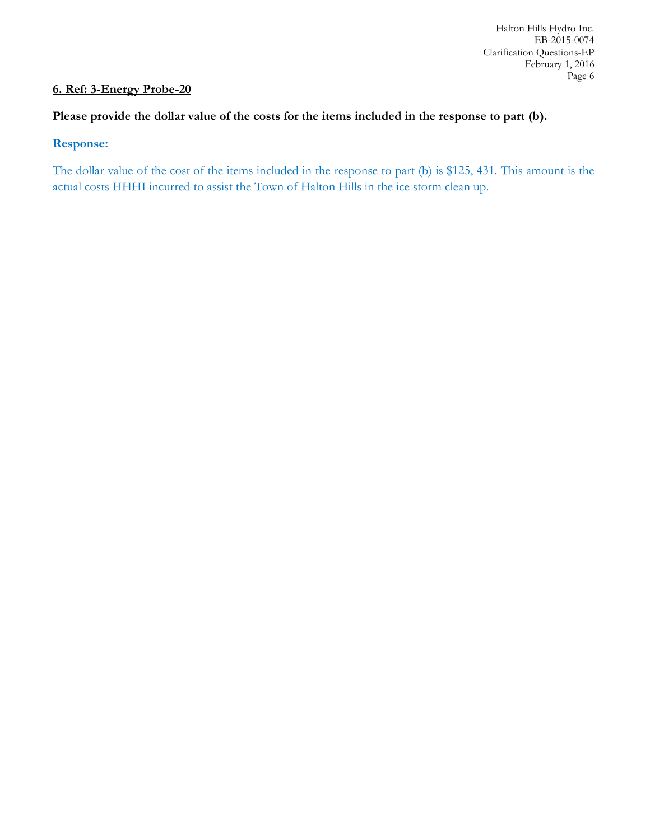# **6. Ref: 3-Energy Probe-20**

# **Please provide the dollar value of the costs for the items included in the response to part (b).**

#### **Response:**

The dollar value of the cost of the items included in the response to part (b) is \$125, 431. This amount is the actual costs HHHI incurred to assist the Town of Halton Hills in the ice storm clean up.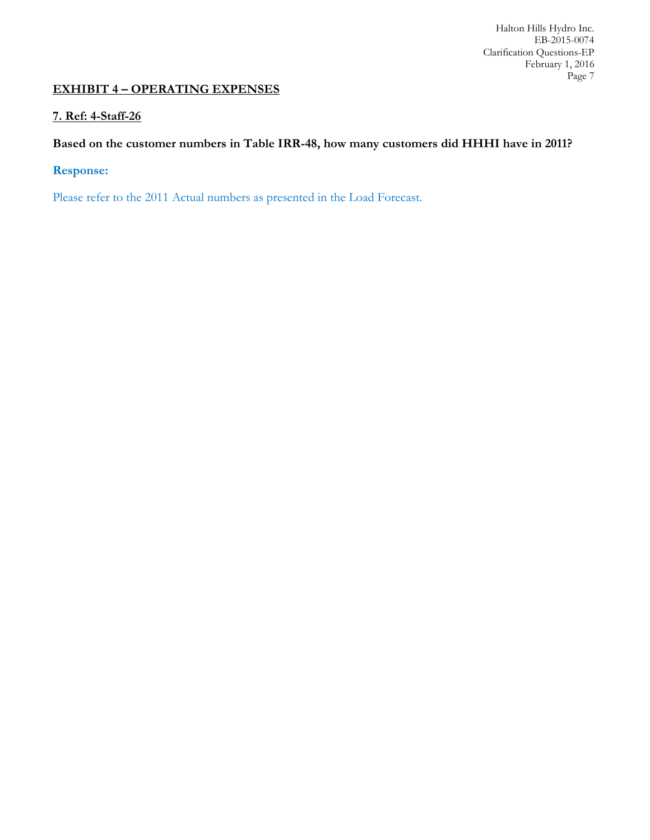Halton Hills Hydro Inc. EB-2015-0074 Clarification Questions-EP February 1, 2016 Page 7

# **EXHIBIT 4 – OPERATING EXPENSES**

### **7. Ref: 4-Staff-26**

# **Based on the customer numbers in Table IRR-48, how many customers did HHHI have in 2011?**

# **Response:**

Please refer to the 2011 Actual numbers as presented in the Load Forecast.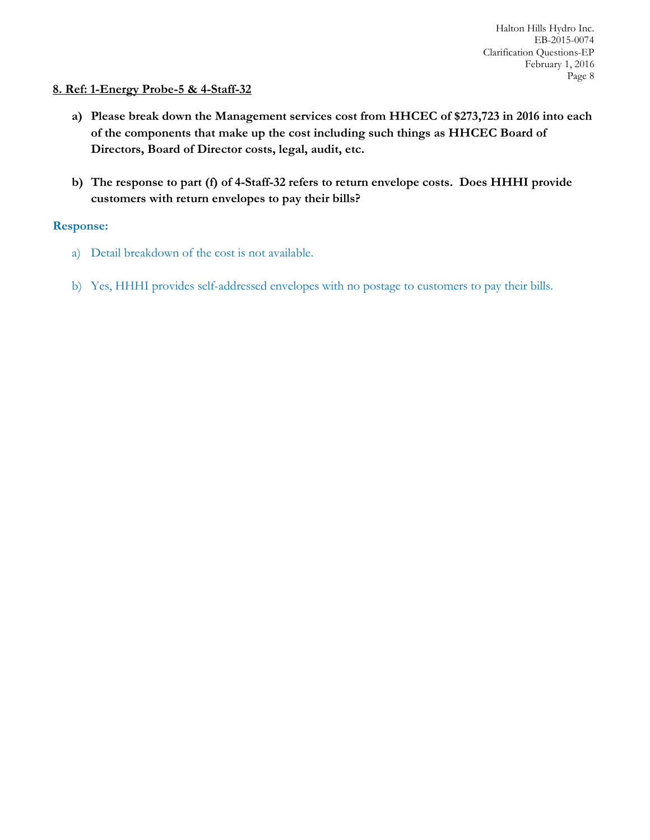#### **8. Ref: 1-Energy Probe-5 & 4-Staff-32**

- **a) Please break down the Management services cost from HHCEC of \$273,723 in 2016 into each of the components that make up the cost including such things as HHCEC Board of Directors, Board of Director costs, legal, audit, etc.**
- **b) The response to part (f) of 4-Staff-32 refers to return envelope costs. Does HHHI provide customers with return envelopes to pay their bills?**

#### **Response:**

- a) Detail breakdown of the cost is not available.
- b) Yes, HHHI provides self-addressed envelopes with no postage to customers to pay their bills.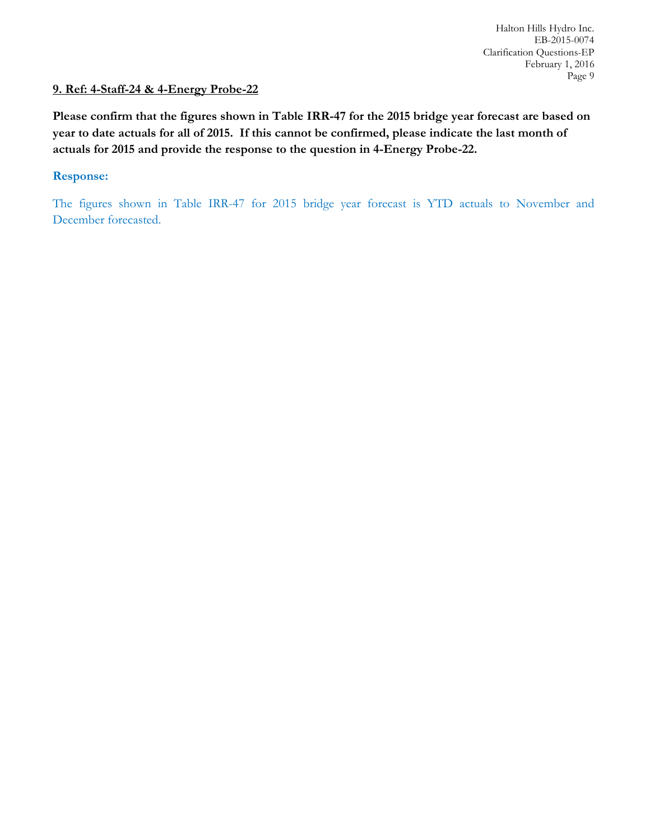# **9. Ref: 4-Staff-24 & 4-Energy Probe-22**

**Please confirm that the figures shown in Table IRR-47 for the 2015 bridge year forecast are based on year to date actuals for all of 2015. If this cannot be confirmed, please indicate the last month of actuals for 2015 and provide the response to the question in 4-Energy Probe-22.**

#### **Response:**

The figures shown in Table IRR-47 for 2015 bridge year forecast is YTD actuals to November and December forecasted.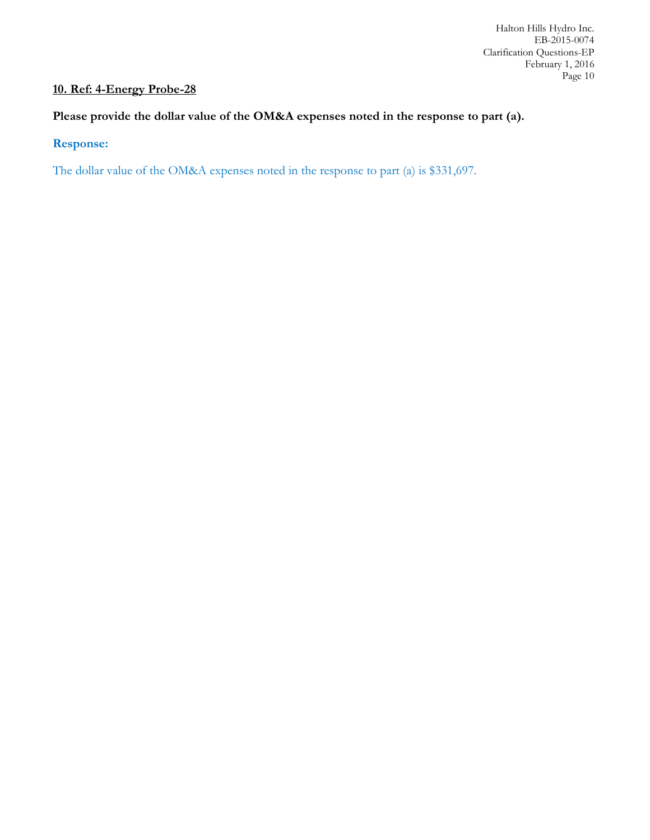# **10. Ref: 4-Energy Probe-28**

# **Please provide the dollar value of the OM&A expenses noted in the response to part (a).**

# **Response:**

The dollar value of the OM&A expenses noted in the response to part (a) is \$331,697.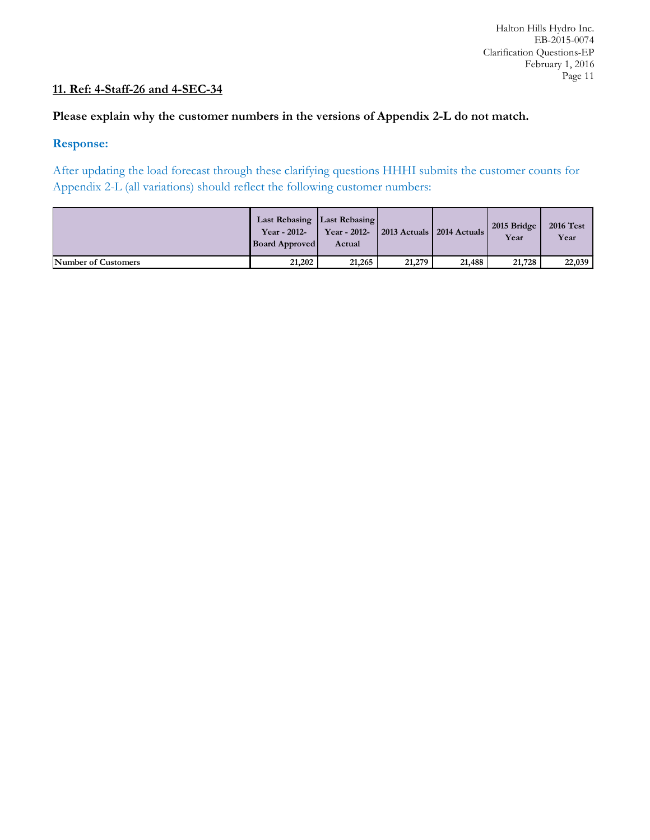# **11. Ref: 4-Staff-26 and 4-SEC-34**

### **Please explain why the customer numbers in the versions of Appendix 2-L do not match.**

#### **Response:**

After updating the load forecast through these clarifying questions HHHI submits the customer counts for Appendix 2-L (all variations) should reflect the following customer numbers:

|                     | Last Rebasing   Last Rebasing  <br>Year - 2012-<br><b>Board Approved</b> | Year - 2012-<br>Actual | 2013 Actuals   2014 Actuals |        | 2015 Bridge<br>Year | <b>2016 Test</b><br>Year |
|---------------------|--------------------------------------------------------------------------|------------------------|-----------------------------|--------|---------------------|--------------------------|
| Number of Customers | 21,202                                                                   | 21,265                 | 21,279                      | 21,488 | 21,728              | 22,039                   |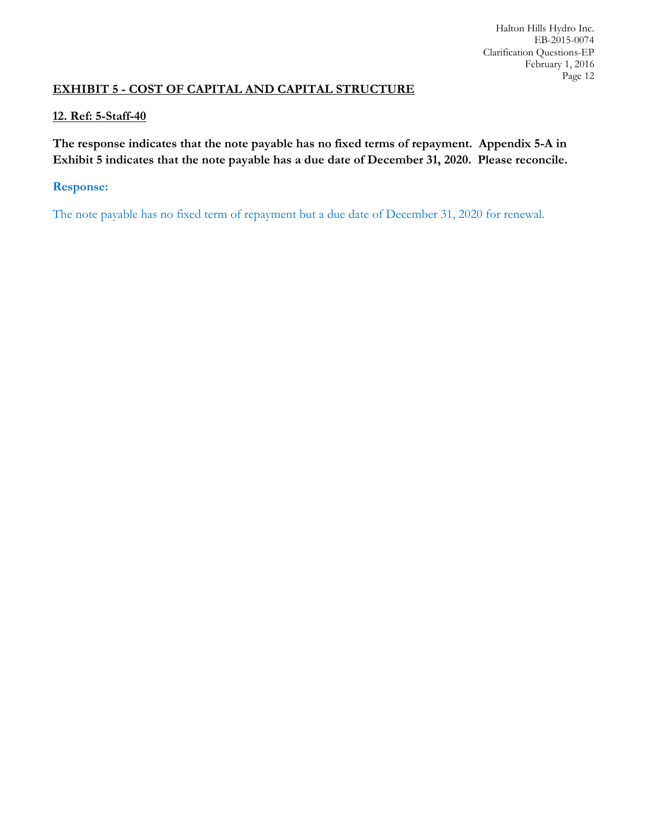# **EXHIBIT 5 - COST OF CAPITAL AND CAPITAL STRUCTURE**

## **12. Ref: 5-Staff-40**

**The response indicates that the note payable has no fixed terms of repayment. Appendix 5-A in Exhibit 5 indicates that the note payable has a due date of December 31, 2020. Please reconcile.**

## **Response:**

The note payable has no fixed term of repayment but a due date of December 31, 2020 for renewal.